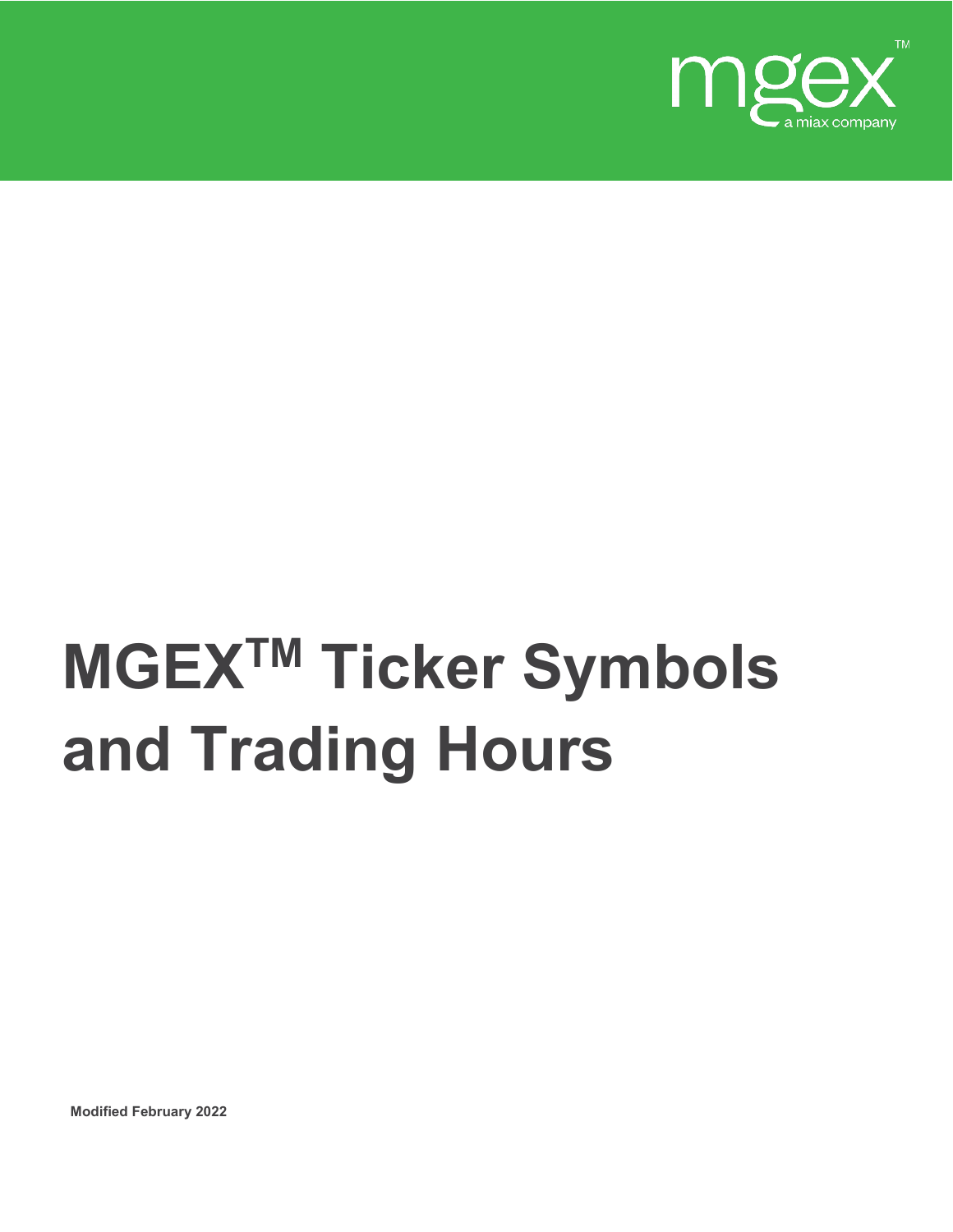

## **MGEXTM Ticker Symbols and Trading Hours**

**Modified February 2022**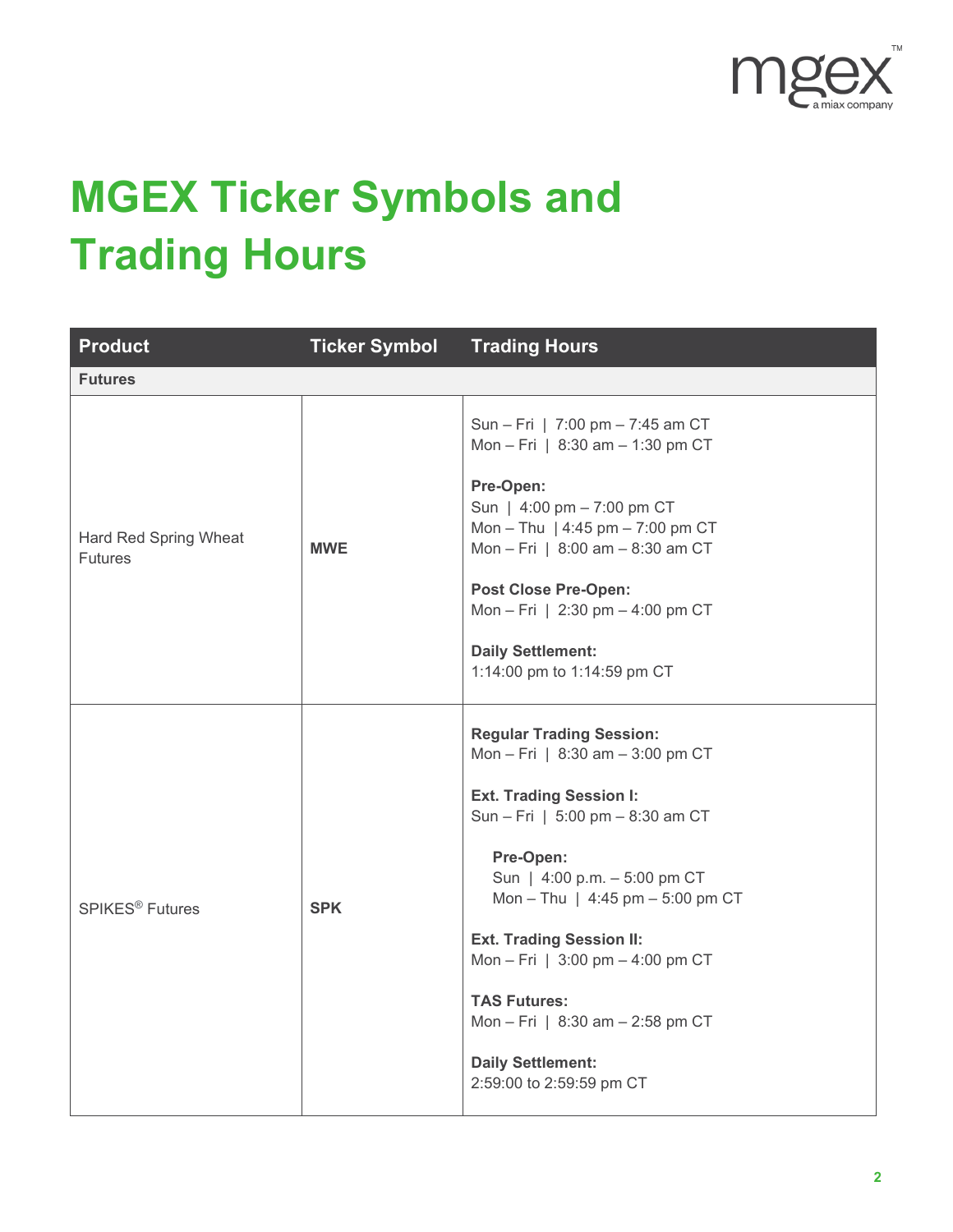

## **MGEX Ticker Symbols and Trading Hours**

| <b>Product</b>                          | <b>Ticker Symbol</b> | <b>Trading Hours</b>                                                                                                                                                                                                                                                                                                                                                                                                                     |
|-----------------------------------------|----------------------|------------------------------------------------------------------------------------------------------------------------------------------------------------------------------------------------------------------------------------------------------------------------------------------------------------------------------------------------------------------------------------------------------------------------------------------|
| <b>Futures</b>                          |                      |                                                                                                                                                                                                                                                                                                                                                                                                                                          |
| Hard Red Spring Wheat<br><b>Futures</b> | <b>MWE</b>           | Sun - Fri   7:00 pm - 7:45 am CT<br>Mon - Fri   8:30 am - 1:30 pm CT<br>Pre-Open:<br>Sun   4:00 pm - 7:00 pm CT<br>Mon - Thu   4:45 pm - 7:00 pm CT<br>Mon - Fri   8:00 am - 8:30 am CT<br><b>Post Close Pre-Open:</b><br>Mon - Fri   2:30 pm - 4:00 pm CT<br><b>Daily Settlement:</b><br>1:14:00 pm to 1:14:59 pm CT                                                                                                                    |
| <b>SPIKES<sup>®</sup></b> Futures       | <b>SPK</b>           | <b>Regular Trading Session:</b><br>Mon - Fri   8:30 am - 3:00 pm CT<br><b>Ext. Trading Session I:</b><br>Sun - Fri   5:00 pm - 8:30 am CT<br>Pre-Open:<br>Sun   4:00 p.m. - 5:00 pm CT<br>Mon - Thu   $4:45$ pm - 5:00 pm CT<br><b>Ext. Trading Session II:</b><br>Mon - Fri   $3:00 \text{ pm} - 4:00 \text{ pm}$ CT<br><b>TAS Futures:</b><br>Mon - Fri   8:30 am - 2:58 pm CT<br><b>Daily Settlement:</b><br>2:59:00 to 2:59:59 pm CT |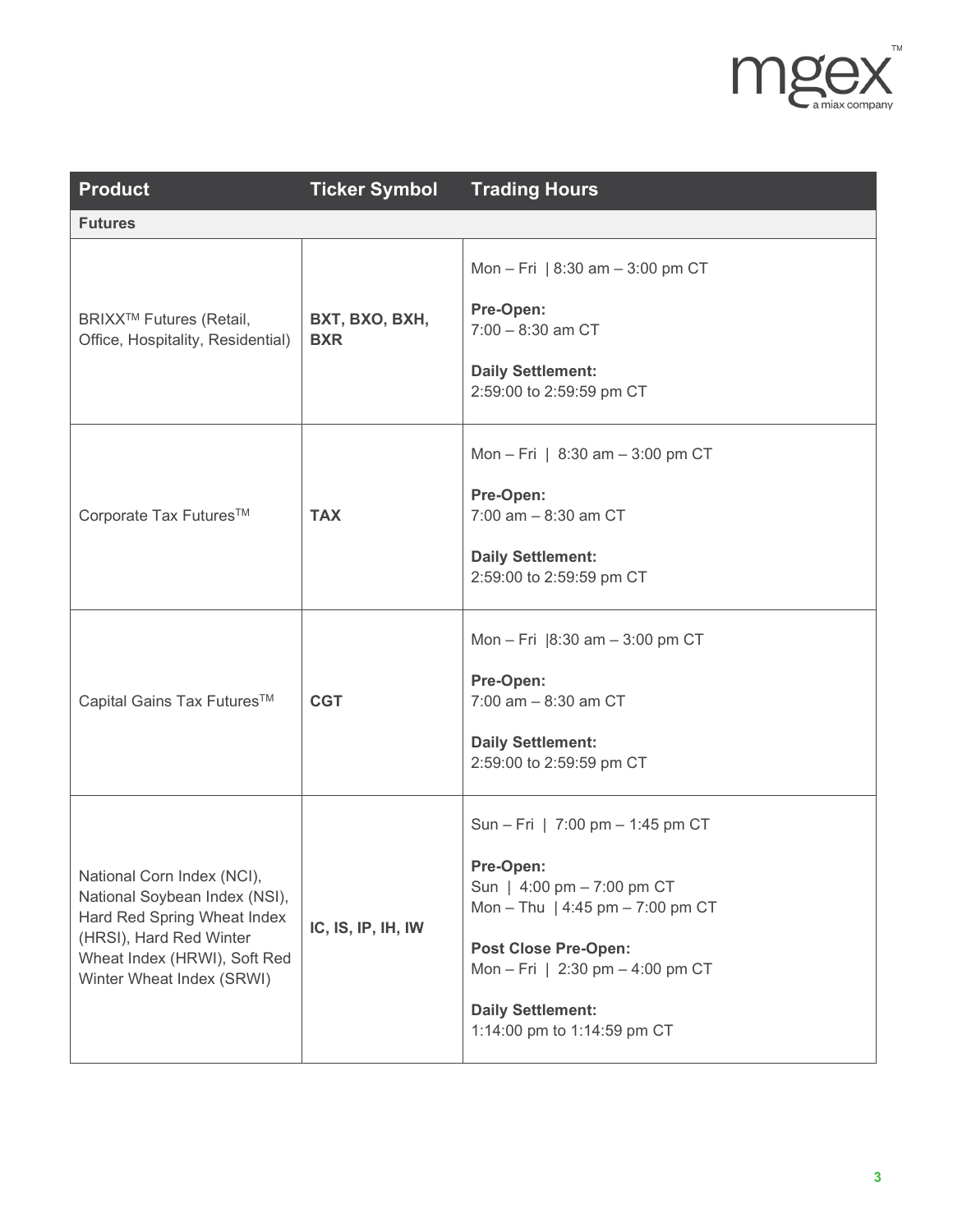

| <b>Product</b>                                                                                                                                                                     | <b>Ticker Symbol</b>         | <b>Trading Hours</b>                                                                                                                                                                                                                          |
|------------------------------------------------------------------------------------------------------------------------------------------------------------------------------------|------------------------------|-----------------------------------------------------------------------------------------------------------------------------------------------------------------------------------------------------------------------------------------------|
| <b>Futures</b>                                                                                                                                                                     |                              |                                                                                                                                                                                                                                               |
| BRIXX <sup>™</sup> Futures (Retail,<br>Office, Hospitality, Residential)                                                                                                           | BXT, BXO, BXH,<br><b>BXR</b> | Mon - Fri   $8:30$ am - 3:00 pm CT<br>Pre-Open:<br>$7:00 - 8:30$ am CT<br><b>Daily Settlement:</b><br>2:59:00 to 2:59:59 pm CT                                                                                                                |
| Corporate Tax Futures™                                                                                                                                                             | <b>TAX</b>                   | Mon - Fri   $8:30$ am - 3:00 pm CT<br>Pre-Open:<br>$7:00$ am $-8:30$ am CT<br><b>Daily Settlement:</b><br>2:59:00 to 2:59:59 pm CT                                                                                                            |
| Capital Gains Tax Futures™                                                                                                                                                         | <b>CGT</b>                   | Mon - Fri $ 8:30 \text{ am} - 3:00 \text{ pm CT} $<br>Pre-Open:<br>$7:00$ am $-8:30$ am CT<br><b>Daily Settlement:</b><br>2:59:00 to 2:59:59 pm CT                                                                                            |
| National Corn Index (NCI),<br>National Soybean Index (NSI),<br>Hard Red Spring Wheat Index<br>(HRSI), Hard Red Winter<br>Wheat Index (HRWI), Soft Red<br>Winter Wheat Index (SRWI) | IC, IS, IP, IH, IW           | Sun - Fri   7:00 pm - 1:45 pm CT<br>Pre-Open:<br>Sun   4:00 pm - 7:00 pm CT<br>Mon - Thu   4:45 pm - 7:00 pm CT<br><b>Post Close Pre-Open:</b><br>Mon - Fri   2:30 pm - 4:00 pm CT<br><b>Daily Settlement:</b><br>1:14:00 pm to 1:14:59 pm CT |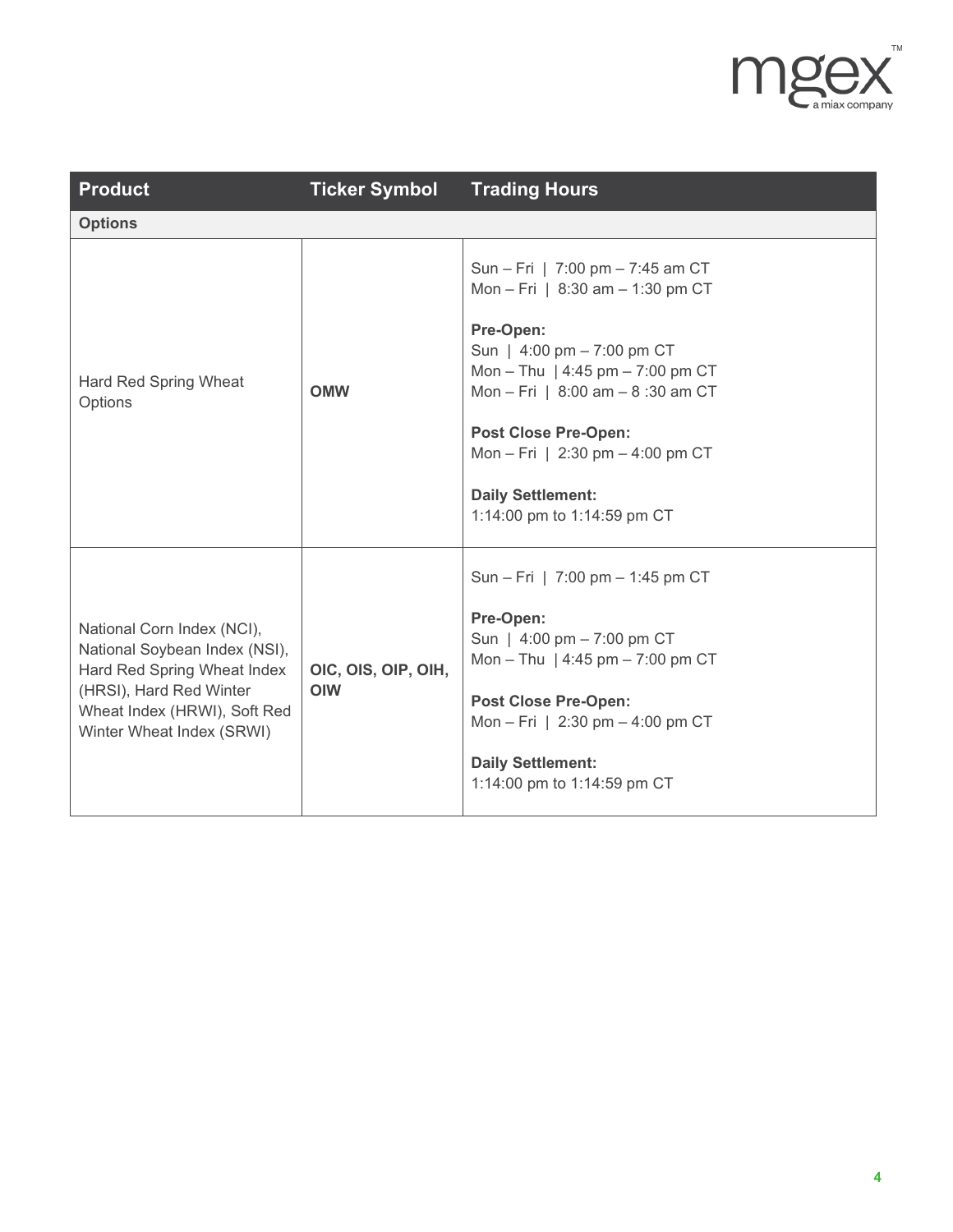

| <b>Product</b>                                                                                                                                                                     | <b>Ticker Symbol</b>              | <b>Trading Hours</b>                                                                                                                                                                                                                                                                                                                        |
|------------------------------------------------------------------------------------------------------------------------------------------------------------------------------------|-----------------------------------|---------------------------------------------------------------------------------------------------------------------------------------------------------------------------------------------------------------------------------------------------------------------------------------------------------------------------------------------|
| <b>Options</b>                                                                                                                                                                     |                                   |                                                                                                                                                                                                                                                                                                                                             |
| Hard Red Spring Wheat<br>Options                                                                                                                                                   | <b>OMW</b>                        | Sun - Fri   7:00 pm - 7:45 am CT<br>Mon - Fri   $8:30$ am - 1:30 pm CT<br>Pre-Open:<br>Sun   $4:00 \text{ pm} - 7:00 \text{ pm } C$ T<br>Mon - Thu   4:45 pm - 7:00 pm CT<br>Mon - Fri   8:00 am - 8:30 am CT<br><b>Post Close Pre-Open:</b><br>Mon - Fri   2:30 pm - 4:00 pm CT<br><b>Daily Settlement:</b><br>1:14:00 pm to 1:14:59 pm CT |
| National Corn Index (NCI),<br>National Soybean Index (NSI),<br>Hard Red Spring Wheat Index<br>(HRSI), Hard Red Winter<br>Wheat Index (HRWI), Soft Red<br>Winter Wheat Index (SRWI) | OIC, OIS, OIP, OIH,<br><b>OIW</b> | Sun - Fri   7:00 pm - 1:45 pm CT<br>Pre-Open:<br>Sun   4:00 pm - 7:00 pm CT<br>Mon - Thu   4:45 pm - 7:00 pm CT<br><b>Post Close Pre-Open:</b><br>Mon - Fri   2:30 pm - 4:00 pm CT<br><b>Daily Settlement:</b><br>1:14:00 pm to 1:14:59 pm CT                                                                                               |